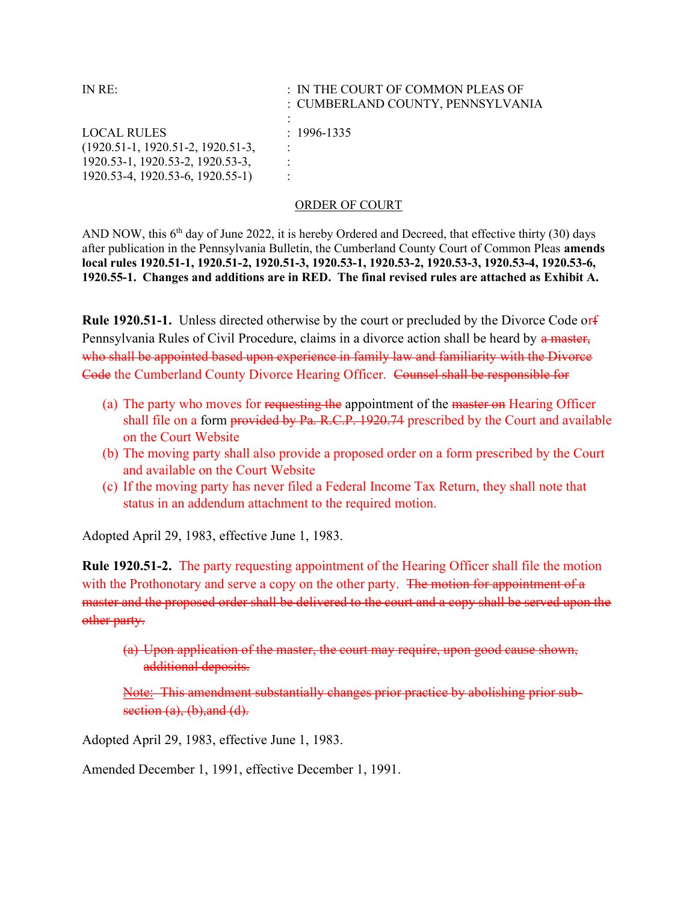| IN RE:                              | : IN THE COURT OF COMMON PLEAS OF<br>: CUMBERLAND COUNTY, PENNSYLVANIA<br>٠ |
|-------------------------------------|-----------------------------------------------------------------------------|
| <b>LOCAL RULES</b>                  | $: 1996 - 1335$                                                             |
| $(1920.51-1, 1920.51-2, 1920.51-3,$ | $\ddot{\phantom{a}}$                                                        |
| 1920.53-1, 1920.53-2, 1920.53-3,    | ٠                                                                           |
| 1920.53-4, 1920.53-6, 1920.55-1)    |                                                                             |

## ORDER OF COURT

AND NOW, this  $6<sup>th</sup>$  day of June 2022, it is hereby Ordered and Decreed, that effective thirty (30) days after publication in the Pennsylvania Bulletin, the Cumberland County Court of Common Pleas amends local rules 1920.51-1, 1920.51-2, 1920.51-3, 1920.53-1, 1920.53-2, 1920.53-3, 1920.53-4, 1920.53-6, 1920.55-1. Changes and additions are in RED. The final revised rules are attached as Exhibit A.

Rule 1920.51-1. Unless directed otherwise by the court or precluded by the Divorce Code orf Pennsylvania Rules of Civil Procedure, claims in a divorce action shall be heard by a master, who shall be appointed based upon experience in family law and familiarity with the Divorce Code the Cumberland County Divorce Hearing Officer. Counsel shall be responsible for

- (a) The party who moves for requesting the appointment of the master on Hearing Officer shall file on a form provided by Pa. R.C.P. 1920.74 prescribed by the Court and available on the Court Website
- (b) The moving party shall also provide a proposed order on a form prescribed by the Court and available on the Court Website
- (c) If the moving party has never filed a Federal Income Tax Return, they shall note that status in an addendum attachment to the required motion.

Adopted April 29, 1983, effective June 1, 1983.

Rule 1920.51-2. The party requesting appointment of the Hearing Officer shall file the motion with the Prothonotary and serve a copy on the other party. The motion for appointment of a master and the proposed order shall be delivered to the court and a copy shall be served upon the other party.

(a) Upon application of the master, the court may require, upon good cause shown, additional deposits.

Note: This amendment substantially changes prior practice by abolishing prior subsection  $(a)$ ,  $(b)$ , and  $(d)$ .

Adopted April 29, 1983, effective June 1, 1983.

Amended December 1, 1991, effective December 1, 1991.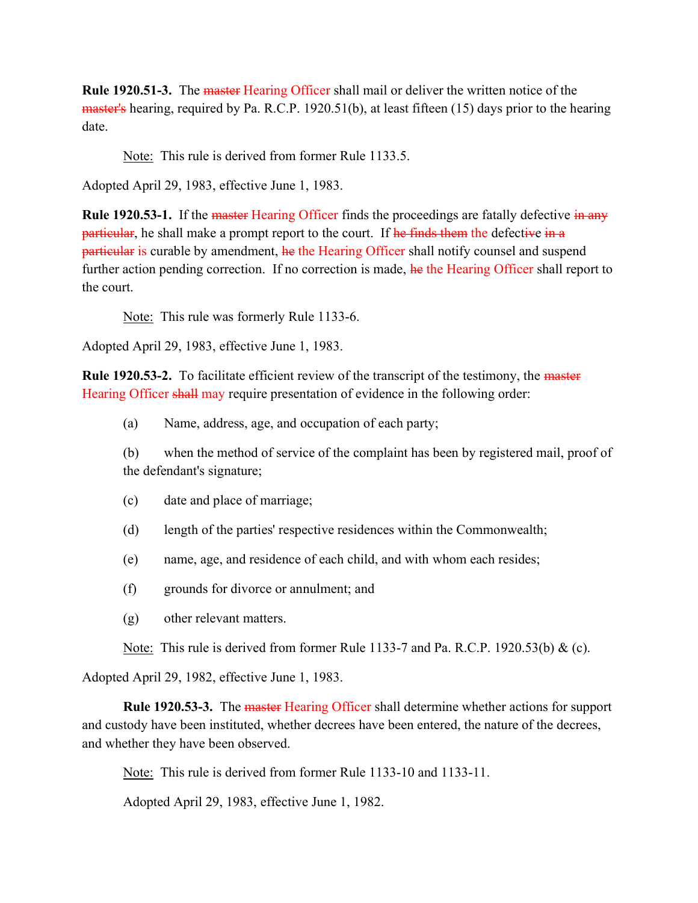Rule 1920.51-3. The master Hearing Officer shall mail or deliver the written notice of the master's hearing, required by Pa. R.C.P. 1920.51(b), at least fifteen (15) days prior to the hearing date.

Note: This rule is derived from former Rule 1133.5.

Adopted April 29, 1983, effective June 1, 1983.

Rule 1920.53-1. If the master Hearing Officer finds the proceedings are fatally defective in any particular, he shall make a prompt report to the court. If he finds them the defective in a particular is curable by amendment, he the Hearing Officer shall notify counsel and suspend further action pending correction. If no correction is made, he the Hearing Officer shall report to the court.

Note: This rule was formerly Rule 1133-6.

Adopted April 29, 1983, effective June 1, 1983.

Rule 1920.53-2. To facilitate efficient review of the transcript of the testimony, the master Hearing Officer shall may require presentation of evidence in the following order:

(a) Name, address, age, and occupation of each party;

(b) when the method of service of the complaint has been by registered mail, proof of the defendant's signature;

- (c) date and place of marriage;
- (d) length of the parties' respective residences within the Commonwealth;
- (e) name, age, and residence of each child, and with whom each resides;
- (f) grounds for divorce or annulment; and
- (g) other relevant matters.

Note: This rule is derived from former Rule 1133-7 and Pa. R.C.P. 1920.53(b) & (c).

Adopted April 29, 1982, effective June 1, 1983.

**Rule 1920.53-3.** The master Hearing Officer shall determine whether actions for support and custody have been instituted, whether decrees have been entered, the nature of the decrees, and whether they have been observed.

Note: This rule is derived from former Rule 1133-10 and 1133-11.

Adopted April 29, 1983, effective June 1, 1982.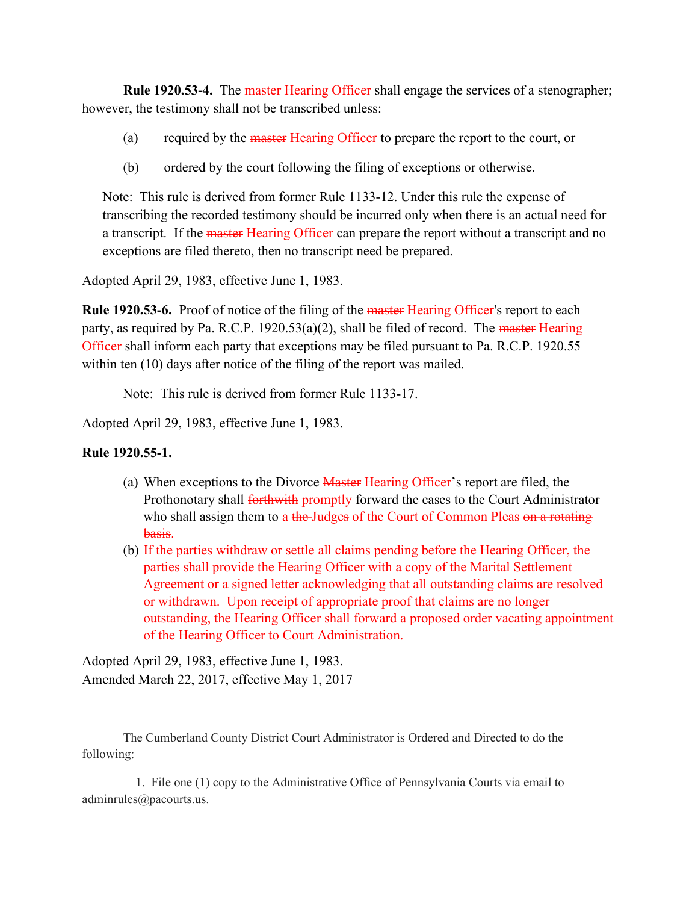Rule 1920.53-4. The master Hearing Officer shall engage the services of a stenographer; however, the testimony shall not be transcribed unless:

- (a) required by the master Hearing Officer to prepare the report to the court, or
- (b) ordered by the court following the filing of exceptions or otherwise.

Note: This rule is derived from former Rule 1133-12. Under this rule the expense of transcribing the recorded testimony should be incurred only when there is an actual need for a transcript. If the master Hearing Officer can prepare the report without a transcript and no exceptions are filed thereto, then no transcript need be prepared.

Adopted April 29, 1983, effective June 1, 1983.

Rule 1920.53-6. Proof of notice of the filing of the master Hearing Officer's report to each party, as required by Pa. R.C.P. 1920.53(a)(2), shall be filed of record. The master Hearing Officer shall inform each party that exceptions may be filed pursuant to Pa. R.C.P. 1920.55 within ten (10) days after notice of the filing of the report was mailed.

Note: This rule is derived from former Rule 1133-17.

Adopted April 29, 1983, effective June 1, 1983.

## Rule 1920.55-1.

- (a) When exceptions to the Divorce Master Hearing Officer's report are filed, the Prothonotary shall forthwith promptly forward the cases to the Court Administrator who shall assign them to a the-Judges of the Court of Common Pleas on a rotating basis.
- (b) If the parties withdraw or settle all claims pending before the Hearing Officer, the parties shall provide the Hearing Officer with a copy of the Marital Settlement Agreement or a signed letter acknowledging that all outstanding claims are resolved or withdrawn. Upon receipt of appropriate proof that claims are no longer outstanding, the Hearing Officer shall forward a proposed order vacating appointment of the Hearing Officer to Court Administration.

Adopted April 29, 1983, effective June 1, 1983. Amended March 22, 2017, effective May 1, 2017

The Cumberland County District Court Administrator is Ordered and Directed to do the following:

 1. File one (1) copy to the Administrative Office of Pennsylvania Courts via email to adminrules@pacourts.us.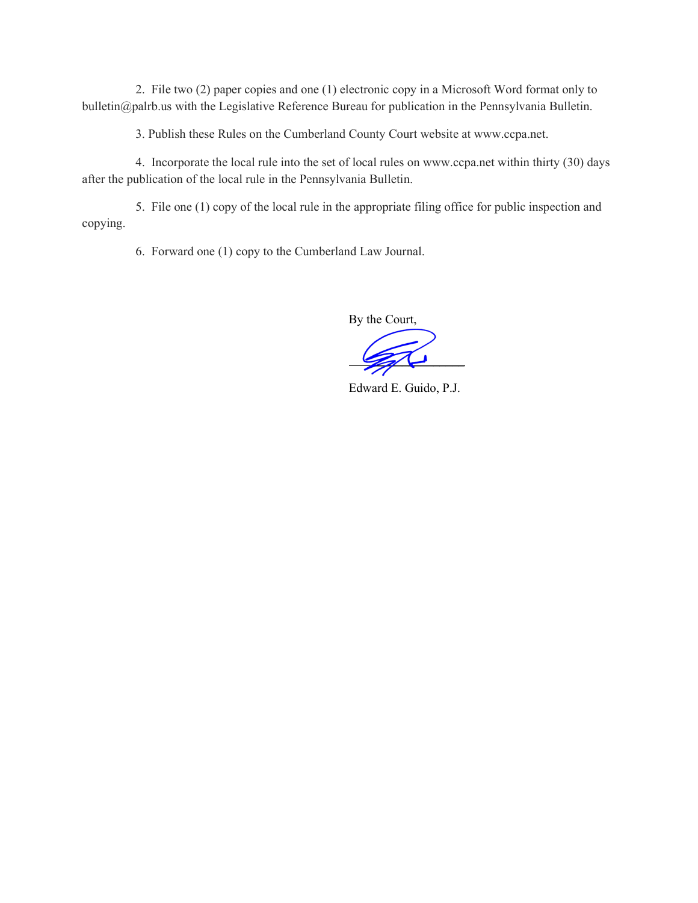2. File two (2) paper copies and one (1) electronic copy in a Microsoft Word format only to bulletin@palrb.us with the Legislative Reference Bureau for publication in the Pennsylvania Bulletin.

3. Publish these Rules on the Cumberland County Court website at www.ccpa.net.

 4. Incorporate the local rule into the set of local rules on www.ccpa.net within thirty (30) days after the publication of the local rule in the Pennsylvania Bulletin.

 5. File one (1) copy of the local rule in the appropriate filing office for public inspection and copying.

6. Forward one (1) copy to the Cumberland Law Journal.

By the Court,

 $\Box$ 

Edward E. Guido, P.J.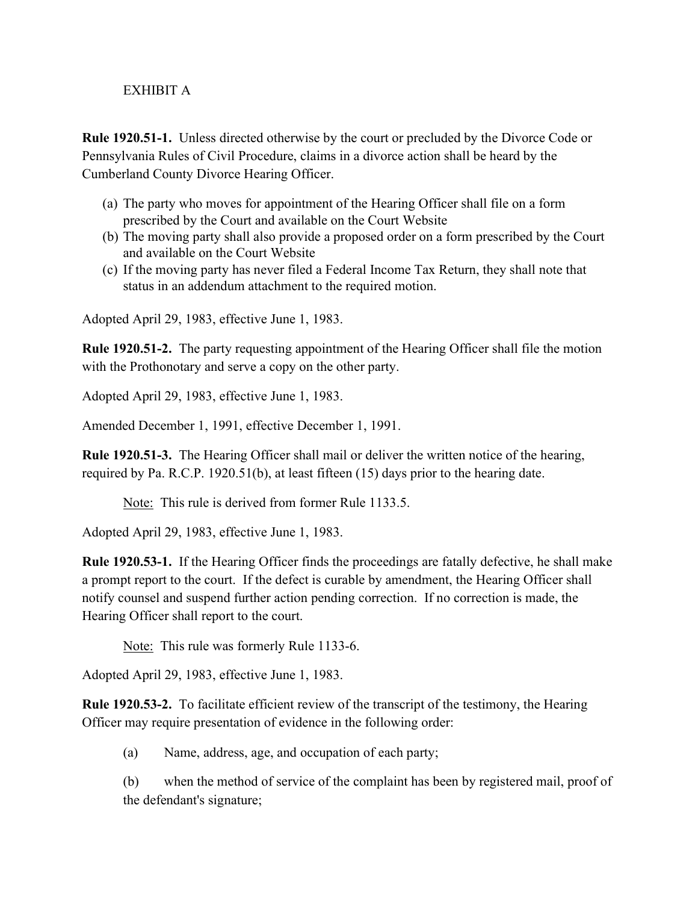## EXHIBIT A

Rule 1920.51-1. Unless directed otherwise by the court or precluded by the Divorce Code or Pennsylvania Rules of Civil Procedure, claims in a divorce action shall be heard by the Cumberland County Divorce Hearing Officer.

- (a) The party who moves for appointment of the Hearing Officer shall file on a form prescribed by the Court and available on the Court Website
- (b) The moving party shall also provide a proposed order on a form prescribed by the Court and available on the Court Website
- (c) If the moving party has never filed a Federal Income Tax Return, they shall note that status in an addendum attachment to the required motion.

Adopted April 29, 1983, effective June 1, 1983.

Rule 1920.51-2. The party requesting appointment of the Hearing Officer shall file the motion with the Prothonotary and serve a copy on the other party.

Adopted April 29, 1983, effective June 1, 1983.

Amended December 1, 1991, effective December 1, 1991.

Rule 1920.51-3. The Hearing Officer shall mail or deliver the written notice of the hearing, required by Pa. R.C.P. 1920.51(b), at least fifteen (15) days prior to the hearing date.

Note: This rule is derived from former Rule 1133.5.

Adopted April 29, 1983, effective June 1, 1983.

Rule 1920.53-1. If the Hearing Officer finds the proceedings are fatally defective, he shall make a prompt report to the court. If the defect is curable by amendment, the Hearing Officer shall notify counsel and suspend further action pending correction. If no correction is made, the Hearing Officer shall report to the court.

Note: This rule was formerly Rule 1133-6.

Adopted April 29, 1983, effective June 1, 1983.

Rule 1920.53-2. To facilitate efficient review of the transcript of the testimony, the Hearing Officer may require presentation of evidence in the following order:

(a) Name, address, age, and occupation of each party;

(b) when the method of service of the complaint has been by registered mail, proof of the defendant's signature;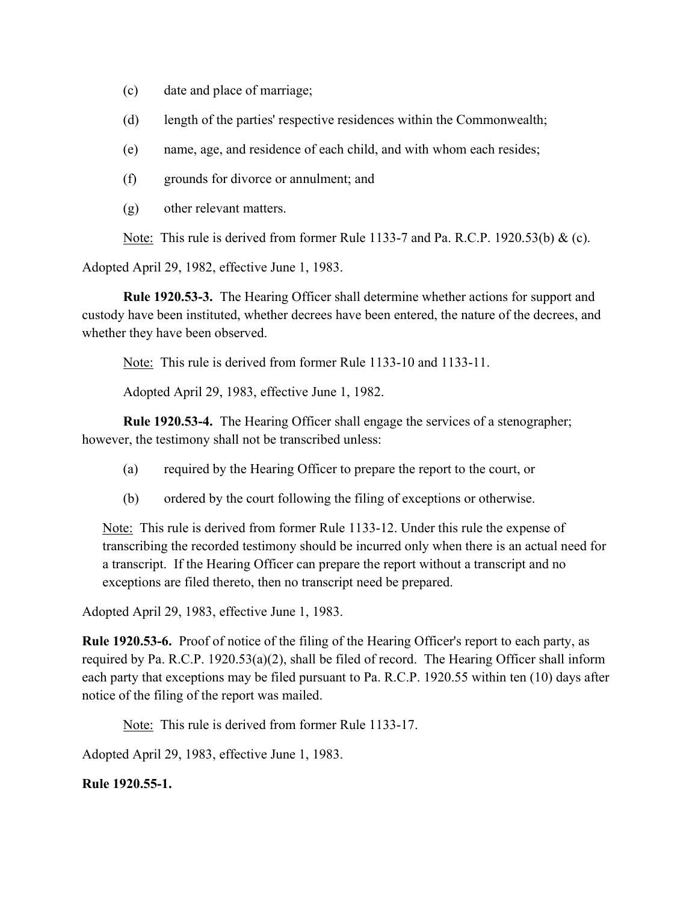- (c) date and place of marriage;
- (d) length of the parties' respective residences within the Commonwealth;
- (e) name, age, and residence of each child, and with whom each resides;
- (f) grounds for divorce or annulment; and
- (g) other relevant matters.

Note: This rule is derived from former Rule 1133-7 and Pa. R.C.P. 1920.53(b) & (c).

Adopted April 29, 1982, effective June 1, 1983.

Rule 1920.53-3. The Hearing Officer shall determine whether actions for support and custody have been instituted, whether decrees have been entered, the nature of the decrees, and whether they have been observed.

Note: This rule is derived from former Rule 1133-10 and 1133-11.

Adopted April 29, 1983, effective June 1, 1982.

Rule 1920.53-4. The Hearing Officer shall engage the services of a stenographer; however, the testimony shall not be transcribed unless:

- (a) required by the Hearing Officer to prepare the report to the court, or
- (b) ordered by the court following the filing of exceptions or otherwise.

 Note: This rule is derived from former Rule 1133-12. Under this rule the expense of transcribing the recorded testimony should be incurred only when there is an actual need for a transcript. If the Hearing Officer can prepare the report without a transcript and no exceptions are filed thereto, then no transcript need be prepared.

Adopted April 29, 1983, effective June 1, 1983.

Rule 1920.53-6. Proof of notice of the filing of the Hearing Officer's report to each party, as required by Pa. R.C.P. 1920.53(a)(2), shall be filed of record. The Hearing Officer shall inform each party that exceptions may be filed pursuant to Pa. R.C.P. 1920.55 within ten (10) days after notice of the filing of the report was mailed.

Note: This rule is derived from former Rule 1133-17.

Adopted April 29, 1983, effective June 1, 1983.

Rule 1920.55-1.